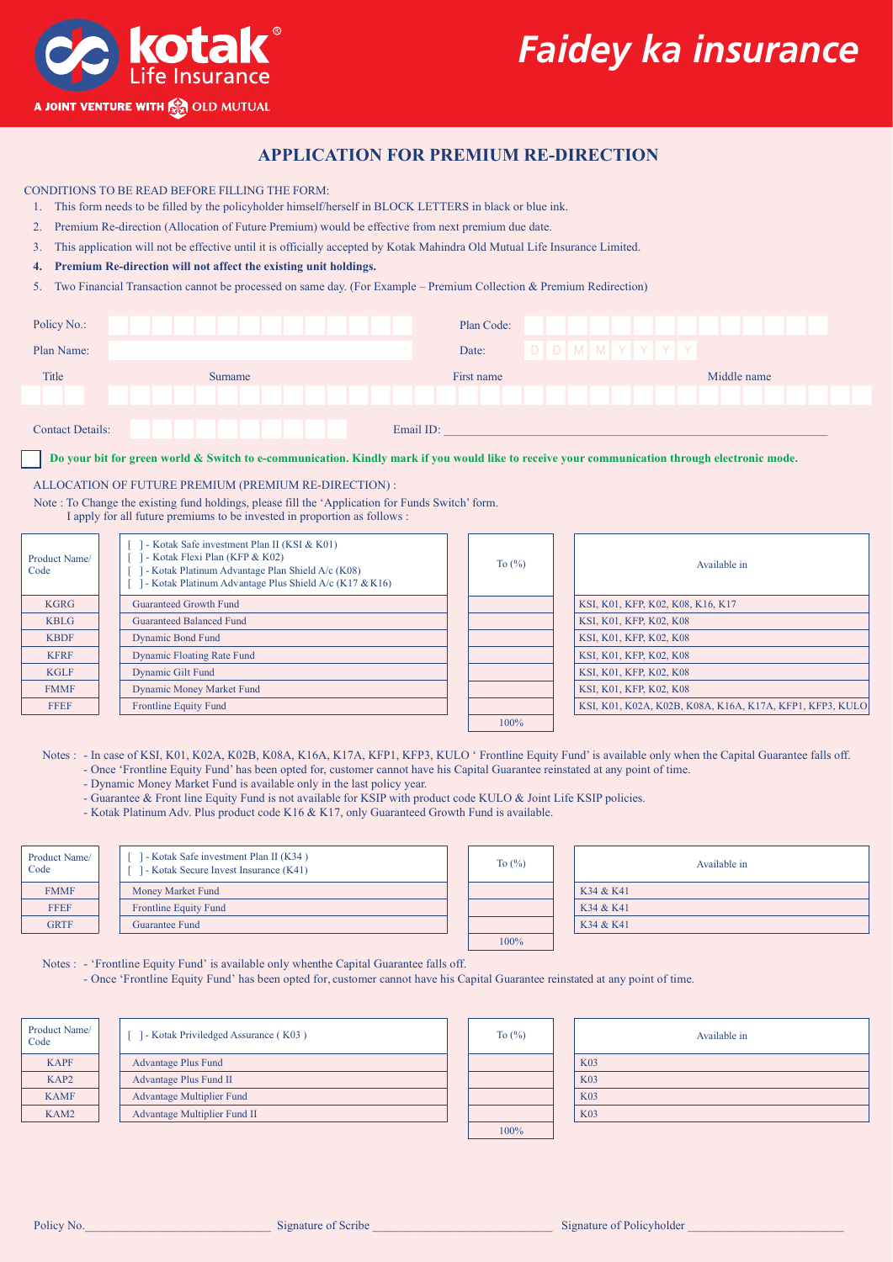



## **APPLICATION FOR PREMIUM RE-DIRECTION**

CONDITIONS TO BE READ BEFORE FILLING THE FORM:

- 1. This form needs to be filled by the policyholder himself/herself in BLOCK LETTERS in black or blue ink.
- 2. Premium Re-direction (Allocation of Future Premium) would be effective from next premium due date.
- 3. This application will not be effective until it is officially accepted by Kotak Mahindra Old Mutual Life Insurance Limited.
- **4. Premium Re-direction will not affect the existing unit holdings.**
- 5. Two Financial Transaction cannot be processed on same day. (For Example Premium Collection & Premium Redirection)

| Policy No.: |         | Plan Code:               |             |
|-------------|---------|--------------------------|-------------|
| Plan Name:  |         | D D M M Y Y Y Y<br>Date: |             |
| Title       | Surname | First name               | Middle name |
|             |         |                          |             |
|             |         |                          |             |

**Do your bit for green world & Switch to e-communication. Kindly mark if you would like to receive your communication through electronic mode.**

## ALLOCATION OF FUTURE PREMIUM (PREMIUM RE-DIRECTION) :

Note : To Change the existing fund holdings, please fill the 'Application for Funds Switch' form. I apply for all future premiums to be invested in proportion as follows :

| Product Name/<br>Code | - Kotak Safe investment Plan II (KSI & K01)<br>- Kotak Flexi Plan (KFP & K02)<br>- Kotak Platinum Advantage Plan Shield A/c (K08)<br>- Kotak Platinum Advantage Plus Shield A/c (K17 & K16) | To $(\%)$ | Available in                                             |
|-----------------------|---------------------------------------------------------------------------------------------------------------------------------------------------------------------------------------------|-----------|----------------------------------------------------------|
| <b>KGRG</b>           | <b>Guaranteed Growth Fund</b>                                                                                                                                                               |           | KSI, K01, KFP, K02, K08, K16, K17                        |
| <b>KBLG</b>           | <b>Guaranteed Balanced Fund</b>                                                                                                                                                             |           | KSI, K01, KFP, K02, K08                                  |
| <b>KBDF</b>           | <b>Dynamic Bond Fund</b>                                                                                                                                                                    |           | KSI, K01, KFP, K02, K08                                  |
| <b>KFRF</b>           | <b>Dynamic Floating Rate Fund</b>                                                                                                                                                           |           | KSI, K01, KFP, K02, K08                                  |
| <b>KGLF</b>           | <b>Dynamic Gilt Fund</b>                                                                                                                                                                    |           | KSI, K01, KFP, K02, K08                                  |
| <b>FMMF</b>           | <b>Dynamic Money Market Fund</b>                                                                                                                                                            |           | KSI, K01, KFP, K02, K08                                  |
| <b>FFEF</b>           | <b>Frontline Equity Fund</b>                                                                                                                                                                |           | KSI, K01, K02A, K02B, K08A, K16A, K17A, KFP1, KFP3, KULO |
|                       |                                                                                                                                                                                             | $100\%$   |                                                          |

Notes : - In case of KSI, K01, K02A, K02B, K08A, K16A, K17A, KFP1, KFP3, KULO ' Frontline Equity Fund' is available only when the Capital Guarantee falls off.

To (%)

100%

- Once 'Frontline Equity Fund' has been opted for, customer cannot have his Capital Guarantee reinstated at any point of time.
- Dynamic Money Market Fund is available only in the last policy year.
- Guarantee & Front line Equity Fund is not available for KSIP with product code KULO & Joint Life KSIP policies.
- Kotak Platinum Adv. Plus product code K16 & K17, only Guaranteed Growth Fund is available.

| Product Name/<br>Code | [ ] - Kotak Safe investment Plan II (K34)<br>[ ] - Kotak Secure Invest Insurance (K41) |  |  |
|-----------------------|----------------------------------------------------------------------------------------|--|--|
| <b>FMMF</b>           | <b>Money Market Fund</b>                                                               |  |  |
| <b>FFEF</b>           | <b>Frontline Equity Fund</b>                                                           |  |  |
| <b>GRTF</b>           | <b>Guarantee Fund</b>                                                                  |  |  |
|                       |                                                                                        |  |  |

|  | Available in |
|--|--------------|
|  | K34 & K41    |
|  | K34 & K41    |
|  | K34 & K41    |

Notes : - 'Frontline Equity Fund' is available only whenthe Capital Guarantee falls off.

- Once 'Frontline Equity Fund' has been opted for, customer cannot have his Capital Guarantee reinstated at any point of time.

| Product Name/<br>Code | 1 - Kotak Priviledged Assurance (K03) | To $\left(\frac{9}{0}\right)$ |
|-----------------------|---------------------------------------|-------------------------------|
| <b>KAPF</b>           | <b>Advantage Plus Fund</b>            |                               |
| KAP <sub>2</sub>      | <b>Advantage Plus Fund II</b>         |                               |
| <b>KAMF</b>           | <b>Advantage Multiplier Fund</b>      |                               |
| KAM2                  | <b>Advantage Multiplier Fund II</b>   |                               |
|                       |                                       | $100\%$                       |

|  | Available in |
|--|--------------|
|  | <b>K03</b>   |
|  | <b>K03</b>   |
|  | <b>K03</b>   |
|  | <b>K03</b>   |
|  |              |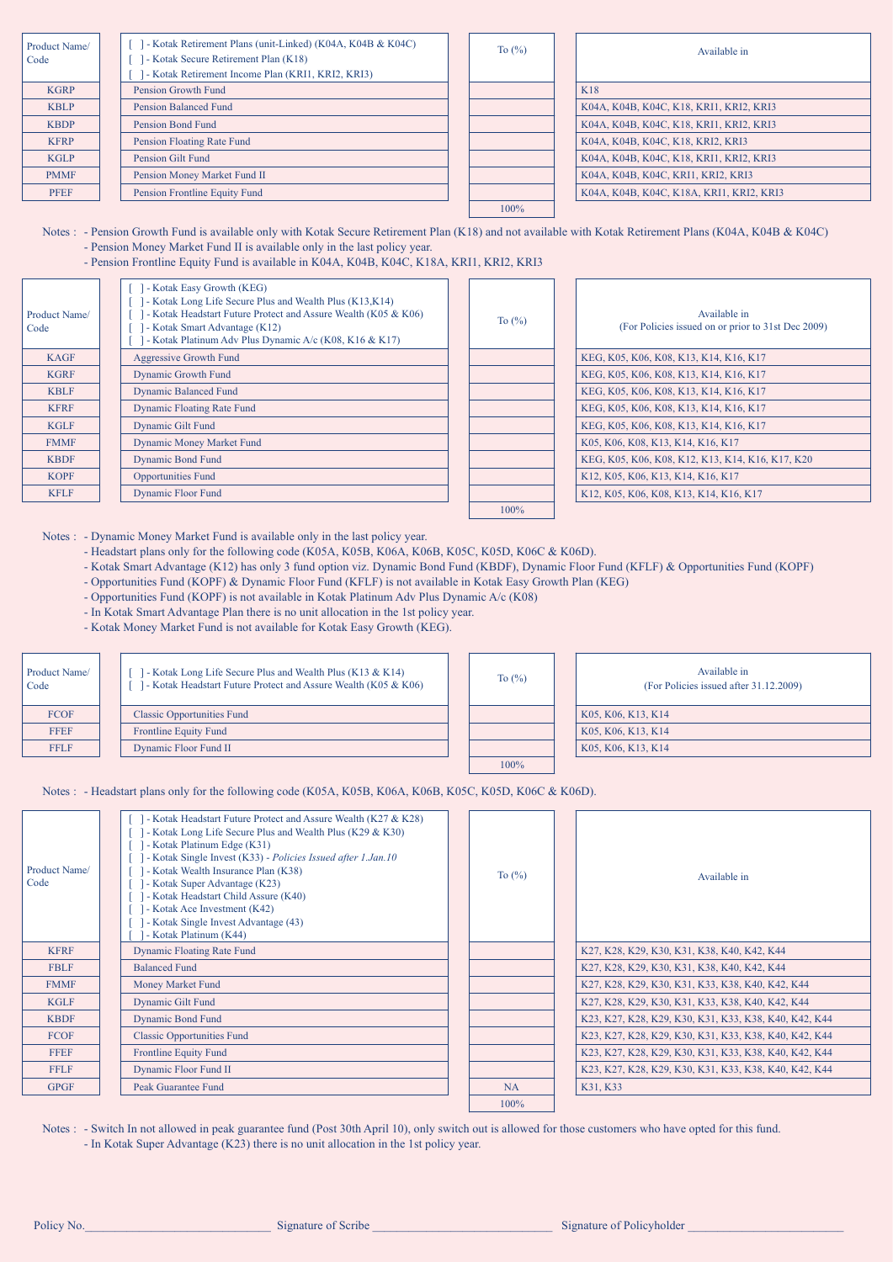| Product Name/<br>Code | - Kotak Retirement Plans (unit-Linked) (K04A, K04B & K04C)<br>- J - Kotak Secure Retirement Plan (K18)<br>- Kotak Retirement Income Plan (KRI1, KRI2, KRI3) | To $(\%)$ | Available in                             |
|-----------------------|-------------------------------------------------------------------------------------------------------------------------------------------------------------|-----------|------------------------------------------|
| <b>KGRP</b>           | <b>Pension Growth Fund</b>                                                                                                                                  |           | <b>K18</b>                               |
| <b>KBLP</b>           | Pension Balanced Fund                                                                                                                                       |           | K04A, K04B, K04C, K18, KRI1, KRI2, KRI3  |
| <b>KBDP</b>           | <b>Pension Bond Fund</b>                                                                                                                                    |           | K04A, K04B, K04C, K18, KRI1, KRI2, KRI3  |
| <b>KFRP</b>           | Pension Floating Rate Fund                                                                                                                                  |           | K04A, K04B, K04C, K18, KRI2, KRI3        |
| <b>KGLP</b>           | Pension Gilt Fund                                                                                                                                           |           | K04A, K04B, K04C, K18, KRI1, KRI2, KRI3  |
| <b>PMMF</b>           | Pension Money Market Fund II                                                                                                                                |           | K04A, K04B, K04C, KRI1, KRI2, KRI3       |
| <b>PFEF</b>           | Pension Frontline Equity Fund                                                                                                                               |           | K04A, K04B, K04C, K18A, KRI1, KRI2, KRI3 |
|                       |                                                                                                                                                             | 100%      |                                          |

Notes : - Pension Growth Fund is available only with Kotak Secure Retirement Plan (K18) and not available with Kotak Retirement Plans (K04A, K04B & K04C) - Pension Money Market Fund II is available only in the last policy year.

- Pension Frontline Equity Fund is available in K04A, K04B, K04C, K18A, KRI1, KRI2, KRI3

| Product Name/<br>Code | - J - Kotak Easy Growth (KEG)<br>- Kotak Long Life Secure Plus and Wealth Plus (K13, K14)<br>- Kotak Headstart Future Protect and Assure Wealth (K05 & K06)<br>- Kotak Smart Advantage (K12)<br>- Kotak Platinum Adv Plus Dynamic A/c (K08, K16 & K17) |
|-----------------------|--------------------------------------------------------------------------------------------------------------------------------------------------------------------------------------------------------------------------------------------------------|
| <b>KAGF</b>           | <b>Aggressive Growth Fund</b>                                                                                                                                                                                                                          |
| <b>KGRF</b>           | <b>Dynamic Growth Fund</b>                                                                                                                                                                                                                             |
| <b>KBLF</b>           | <b>Dynamic Balanced Fund</b>                                                                                                                                                                                                                           |
| <b>KFRF</b>           | <b>Dynamic Floating Rate Fund</b>                                                                                                                                                                                                                      |
| <b>KGLF</b>           | <b>Dynamic Gilt Fund</b>                                                                                                                                                                                                                               |
| <b>FMMF</b>           | <b>Dynamic Money Market Fund</b>                                                                                                                                                                                                                       |
| <b>KBDF</b>           | <b>Dynamic Bond Fund</b>                                                                                                                                                                                                                               |
| <b>KOPF</b>           | <b>Opportunities Fund</b>                                                                                                                                                                                                                              |
| <b>KFLF</b>           | <b>Dynamic Floor Fund</b>                                                                                                                                                                                                                              |

| Available in                                       |
|----------------------------------------------------|
| (For Policies issued on or prior to 31st Dec 2009) |
| KEG, K05, K06, K08, K13, K14, K16, K17             |
| KEG, K05, K06, K08, K13, K14, K16, K17             |
| KEG, K05, K06, K08, K13, K14, K16, K17             |
| KEG, K05, K06, K08, K13, K14, K16, K17             |
| KEG, K05, K06, K08, K13, K14, K16, K17             |
| K05, K06, K08, K13, K14, K16, K17                  |
| KEG, K05, K06, K08, K12, K13, K14, K16, K17, K20   |
| K12, K05, K06, K13, K14, K16, K17                  |
| K12, K05, K06, K08, K13, K14, K16, K17             |

Notes : - Dynamic Money Market Fund is available only in the last policy year.

- Headstart plans only for the following code (K05A, K05B, K06A, K06B, K05C, K05D, K06C & K06D).

- Kotak Smart Advantage (K12) has only 3 fund option viz. Dynamic Bond Fund (KBDF), Dynamic Floor Fund (KFLF) & Opportunities Fund (KOPF)

To (%)

100%

To (%)

100%

- Opportunities Fund (KOPF) & Dynamic Floor Fund (KFLF) is not available in Kotak Easy Growth Plan (KEG)

- Opportunities Fund (KOPF) is not available in Kotak Platinum Adv Plus Dynamic A/c (K08)

- In Kotak Smart Advantage Plan there is no unit allocation in the 1st policy year.

- Kotak Money Market Fund is not available for Kotak Easy Growth (KEG).

| Product Name/<br>Code | 1 - Kotak Long Life Secure Plus and Wealth Plus (K13 & K14)<br>1 - Kotak Headstart Future Protect and Assure Wealth (K05 & K06) |
|-----------------------|---------------------------------------------------------------------------------------------------------------------------------|
| <b>FCOF</b>           | <b>Classic Opportunities Fund</b>                                                                                               |
| <b>FFEF</b>           | <b>Frontline Equity Fund</b>                                                                                                    |
| <b>FFLF</b>           | <b>Dynamic Floor Fund II</b>                                                                                                    |

|  | Available in<br>(For Policies issued after 31.12.2009) |
|--|--------------------------------------------------------|
|  | K05, K06, K13, K14                                     |
|  | K05, K06, K13, K14                                     |
|  | K05, K06, K13, K14                                     |
|  |                                                        |

Notes : - Headstart plans only for the following code (K05A, K05B, K06A, K06B, K05C, K05D, K06C & K06D).

| Product Name/<br>Code | - Kotak Headstart Future Protect and Assure Wealth (K27 & K28)<br>- Kotak Long Life Secure Plus and Wealth Plus (K29 & K30)<br>- Kotak Platinum Edge (K31)<br>- Kotak Single Invest (K33) - Policies Issued after 1.Jan.10<br>- Kotak Wealth Insurance Plan (K38)<br>- Kotak Super Advantage (K23)<br>- Kotak Headstart Child Assure (K40)<br>- Kotak Ace Investment (K42)<br>- Kotak Single Invest Advantage (43)<br>- Kotak Platinum (K44) | To $\left(\frac{9}{6}\right)$ | Available in                                          |
|-----------------------|----------------------------------------------------------------------------------------------------------------------------------------------------------------------------------------------------------------------------------------------------------------------------------------------------------------------------------------------------------------------------------------------------------------------------------------------|-------------------------------|-------------------------------------------------------|
| <b>KFRF</b>           | <b>Dynamic Floating Rate Fund</b>                                                                                                                                                                                                                                                                                                                                                                                                            |                               | K27, K28, K29, K30, K31, K38, K40, K42, K44           |
| <b>FBLF</b>           | <b>Balanced Fund</b>                                                                                                                                                                                                                                                                                                                                                                                                                         |                               | K27, K28, K29, K30, K31, K38, K40, K42, K44           |
| <b>FMMF</b>           | <b>Money Market Fund</b>                                                                                                                                                                                                                                                                                                                                                                                                                     |                               | K27, K28, K29, K30, K31, K33, K38, K40, K42, K44      |
| <b>KGLF</b>           | <b>Dynamic Gilt Fund</b>                                                                                                                                                                                                                                                                                                                                                                                                                     |                               | K27, K28, K29, K30, K31, K33, K38, K40, K42, K44      |
| <b>KBDF</b>           | <b>Dynamic Bond Fund</b>                                                                                                                                                                                                                                                                                                                                                                                                                     |                               | K23, K27, K28, K29, K30, K31, K33, K38, K40, K42, K44 |
| <b>FCOF</b>           | <b>Classic Opportunities Fund</b>                                                                                                                                                                                                                                                                                                                                                                                                            |                               | K23, K27, K28, K29, K30, K31, K33, K38, K40, K42, K44 |
| <b>FFEF</b>           | <b>Frontline Equity Fund</b>                                                                                                                                                                                                                                                                                                                                                                                                                 |                               | K23, K27, K28, K29, K30, K31, K33, K38, K40, K42, K44 |
| <b>FFLF</b>           | Dynamic Floor Fund II                                                                                                                                                                                                                                                                                                                                                                                                                        |                               | K23, K27, K28, K29, K30, K31, K33, K38, K40, K42, K44 |
| <b>GPGF</b>           | <b>Peak Guarantee Fund</b>                                                                                                                                                                                                                                                                                                                                                                                                                   | <b>NA</b>                     | K31, K33                                              |
|                       |                                                                                                                                                                                                                                                                                                                                                                                                                                              | 100%                          |                                                       |

Notes : - Switch In not allowed in peak guarantee fund (Post 30th April 10), only switch out is allowed for those customers who have opted for this fund. - In Kotak Super Advantage (K23) there is no unit allocation in the 1st policy year.